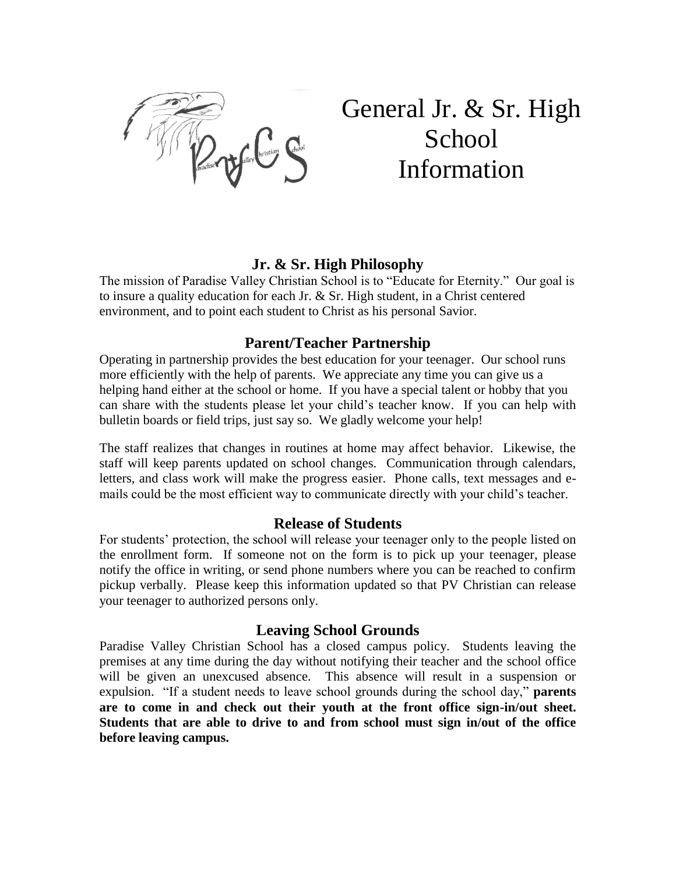

# General Jr. & Sr. High School Information

#### **Jr. & Sr. High Philosophy**

The mission of Paradise Valley Christian School is to "Educate for Eternity." Our goal is to insure a quality education for each Jr. & Sr. High student, in a Christ centered environment, and to point each student to Christ as his personal Savior.

#### **Parent/Teacher Partnership**

Operating in partnership provides the best education for your teenager. Our school runs more efficiently with the help of parents. We appreciate any time you can give us a helping hand either at the school or home. If you have a special talent or hobby that you can share with the students please let your child's teacher know. If you can help with bulletin boards or field trips, just say so. We gladly welcome your help!

The staff realizes that changes in routines at home may affect behavior. Likewise, the staff will keep parents updated on school changes. Communication through calendars, letters, and class work will make the progress easier. Phone calls, text messages and emails could be the most efficient way to communicate directly with your child's teacher.

#### **Release of Students**

For students' protection, the school will release your teenager only to the people listed on the enrollment form. If someone not on the form is to pick up your teenager, please notify the office in writing, or send phone numbers where you can be reached to confirm pickup verbally. Please keep this information updated so that PV Christian can release your teenager to authorized persons only.

#### **Leaving School Grounds**

Paradise Valley Christian School has a closed campus policy. Students leaving the premises at any time during the day without notifying their teacher and the school office will be given an unexcused absence. This absence will result in a suspension or expulsion. "If a student needs to leave school grounds during the school day," **parents are to come in and check out their youth at the front office sign-in/out sheet. Students that are able to drive to and from school must sign in/out of the office before leaving campus.**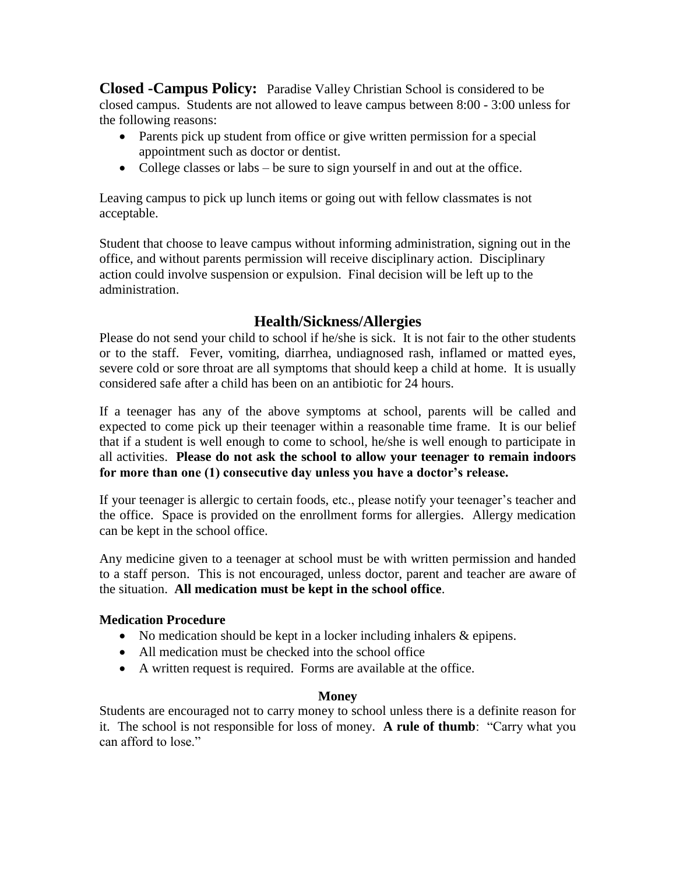**Closed -Campus Policy:** Paradise Valley Christian School is considered to be closed campus. Students are not allowed to leave campus between 8:00 - 3:00 unless for the following reasons:

- Parents pick up student from office or give written permission for a special appointment such as doctor or dentist.
- College classes or labs be sure to sign yourself in and out at the office.

Leaving campus to pick up lunch items or going out with fellow classmates is not acceptable.

Student that choose to leave campus without informing administration, signing out in the office, and without parents permission will receive disciplinary action. Disciplinary action could involve suspension or expulsion. Final decision will be left up to the administration.

### **Health/Sickness/Allergies**

Please do not send your child to school if he/she is sick. It is not fair to the other students or to the staff. Fever, vomiting, diarrhea, undiagnosed rash, inflamed or matted eyes, severe cold or sore throat are all symptoms that should keep a child at home. It is usually considered safe after a child has been on an antibiotic for 24 hours.

If a teenager has any of the above symptoms at school, parents will be called and expected to come pick up their teenager within a reasonable time frame. It is our belief that if a student is well enough to come to school, he/she is well enough to participate in all activities. **Please do not ask the school to allow your teenager to remain indoors for more than one (1) consecutive day unless you have a doctor's release.**

If your teenager is allergic to certain foods, etc., please notify your teenager's teacher and the office. Space is provided on the enrollment forms for allergies. Allergy medication can be kept in the school office.

Any medicine given to a teenager at school must be with written permission and handed to a staff person. This is not encouraged, unless doctor, parent and teacher are aware of the situation. **All medication must be kept in the school office**.

#### **Medication Procedure**

- No medication should be kept in a locker including inhalers & epipens.
- All medication must be checked into the school office
- A written request is required. Forms are available at the office.

#### **Money**

Students are encouraged not to carry money to school unless there is a definite reason for it. The school is not responsible for loss of money. **A rule of thumb**: "Carry what you can afford to lose."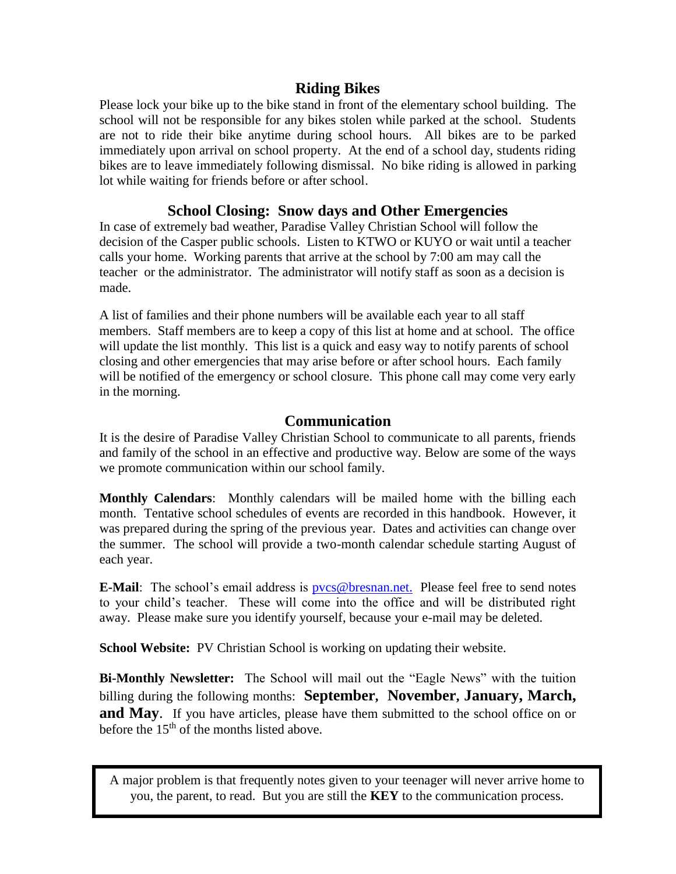#### **Riding Bikes**

Please lock your bike up to the bike stand in front of the elementary school building. The school will not be responsible for any bikes stolen while parked at the school. Students are not to ride their bike anytime during school hours. All bikes are to be parked immediately upon arrival on school property. At the end of a school day, students riding bikes are to leave immediately following dismissal. No bike riding is allowed in parking lot while waiting for friends before or after school.

## **School Closing: Snow days and Other Emergencies**

In case of extremely bad weather, Paradise Valley Christian School will follow the decision of the Casper public schools. Listen to KTWO or KUYO or wait until a teacher calls your home. Working parents that arrive at the school by 7:00 am may call the teacher or the administrator. The administrator will notify staff as soon as a decision is made.

A list of families and their phone numbers will be available each year to all staff members. Staff members are to keep a copy of this list at home and at school. The office will update the list monthly. This list is a quick and easy way to notify parents of school closing and other emergencies that may arise before or after school hours. Each family will be notified of the emergency or school closure. This phone call may come very early in the morning.

### **Communication**

It is the desire of Paradise Valley Christian School to communicate to all parents, friends and family of the school in an effective and productive way. Below are some of the ways we promote communication within our school family.

**Monthly Calendars**: Monthly calendars will be mailed home with the billing each month. Tentative school schedules of events are recorded in this handbook. However, it was prepared during the spring of the previous year. Dates and activities can change over the summer. The school will provide a two-month calendar schedule starting August of each year.

**E-Mail**: The school's email address is [pvcs@bresnan.net.](mailto:pvcs@bresnan.net.) Please feel free to send notes to your child's teacher. These will come into the office and will be distributed right away. Please make sure you identify yourself, because your e-mail may be deleted.

**School Website:** PV Christian School is working on updating their website.

**Bi-Monthly Newsletter:** The School will mail out the "Eagle News" with the tuition billing during the following months: **September, November, January, March, and May.** If you have articles, please have them submitted to the school office on or before the  $15<sup>th</sup>$  of the months listed above.

A major problem is that frequently notes given to your teenager will never arrive home to you, the parent, to read. But you are still the **KEY** to the communication process.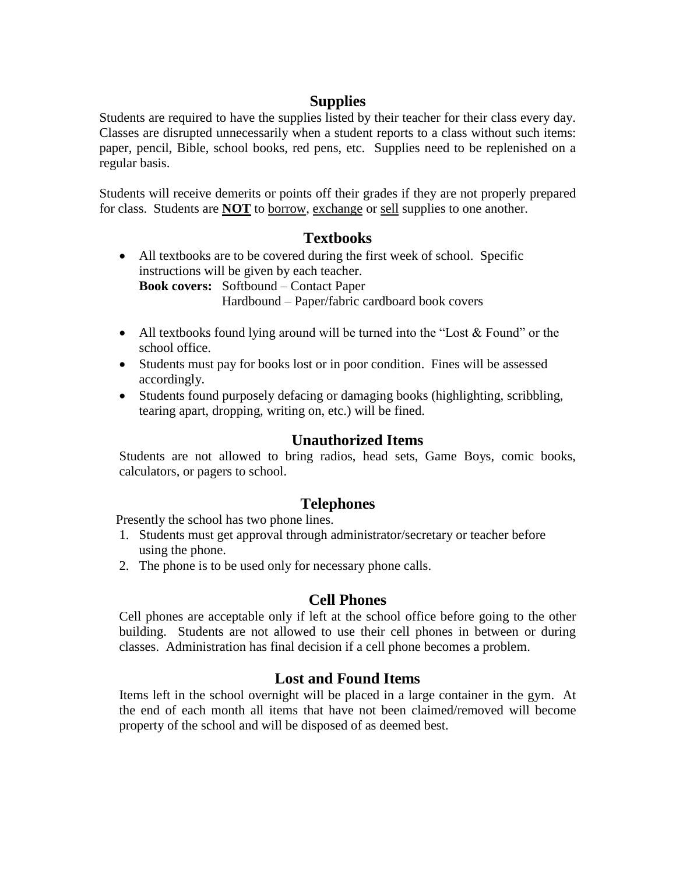## **Supplies**

Students are required to have the supplies listed by their teacher for their class every day. Classes are disrupted unnecessarily when a student reports to a class without such items: paper, pencil, Bible, school books, red pens, etc. Supplies need to be replenished on a regular basis.

Students will receive demerits or points off their grades if they are not properly prepared for class. Students are **NOT** to borrow, exchange or sell supplies to one another.

#### **Textbooks**

- All textbooks are to be covered during the first week of school. Specific instructions will be given by each teacher. **Book covers:** Softbound – Contact Paper Hardbound – Paper/fabric cardboard book covers
- All textbooks found lying around will be turned into the "Lost  $&$  Found" or the school office.
- Students must pay for books lost or in poor condition. Fines will be assessed accordingly.
- Students found purposely defacing or damaging books (highlighting, scribbling, tearing apart, dropping, writing on, etc.) will be fined.

#### **Unauthorized Items**

Students are not allowed to bring radios, head sets, Game Boys, comic books, calculators, or pagers to school.

#### **Telephones**

Presently the school has two phone lines.

- 1. Students must get approval through administrator/secretary or teacher before using the phone.
- 2. The phone is to be used only for necessary phone calls.

#### **Cell Phones**

Cell phones are acceptable only if left at the school office before going to the other building. Students are not allowed to use their cell phones in between or during classes. Administration has final decision if a cell phone becomes a problem.

#### **Lost and Found Items**

Items left in the school overnight will be placed in a large container in the gym. At the end of each month all items that have not been claimed/removed will become property of the school and will be disposed of as deemed best.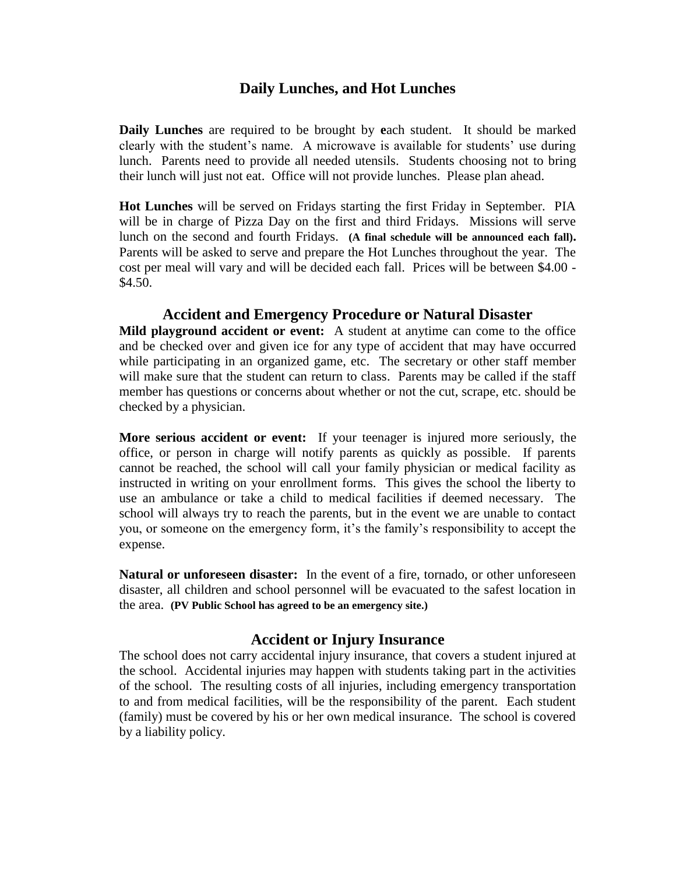#### **Daily Lunches, and Hot Lunches**

**Daily Lunches** are required to be brought by **e**ach student. It should be marked clearly with the student's name. A microwave is available for students' use during lunch. Parents need to provide all needed utensils. Students choosing not to bring their lunch will just not eat. Office will not provide lunches. Please plan ahead.

**Hot Lunches** will be served on Fridays starting the first Friday in September. PIA will be in charge of Pizza Day on the first and third Fridays. Missions will serve lunch on the second and fourth Fridays. **(A final schedule will be announced each fall).** Parents will be asked to serve and prepare the Hot Lunches throughout the year. The cost per meal will vary and will be decided each fall. Prices will be between \$4.00 - \$4.50.

#### **Accident and Emergency Procedure or Natural Disaster**

**Mild playground accident or event:** A student at anytime can come to the office and be checked over and given ice for any type of accident that may have occurred while participating in an organized game, etc. The secretary or other staff member will make sure that the student can return to class. Parents may be called if the staff member has questions or concerns about whether or not the cut, scrape, etc. should be checked by a physician.

**More serious accident or event:** If your teenager is injured more seriously, the office, or person in charge will notify parents as quickly as possible. If parents cannot be reached, the school will call your family physician or medical facility as instructed in writing on your enrollment forms. This gives the school the liberty to use an ambulance or take a child to medical facilities if deemed necessary. The school will always try to reach the parents, but in the event we are unable to contact you, or someone on the emergency form, it's the family's responsibility to accept the expense.

**Natural or unforeseen disaster:** In the event of a fire, tornado, or other unforeseen disaster, all children and school personnel will be evacuated to the safest location in the area. **(PV Public School has agreed to be an emergency site.)**

#### **Accident or Injury Insurance**

The school does not carry accidental injury insurance, that covers a student injured at the school. Accidental injuries may happen with students taking part in the activities of the school. The resulting costs of all injuries, including emergency transportation to and from medical facilities, will be the responsibility of the parent. Each student (family) must be covered by his or her own medical insurance. The school is covered by a liability policy.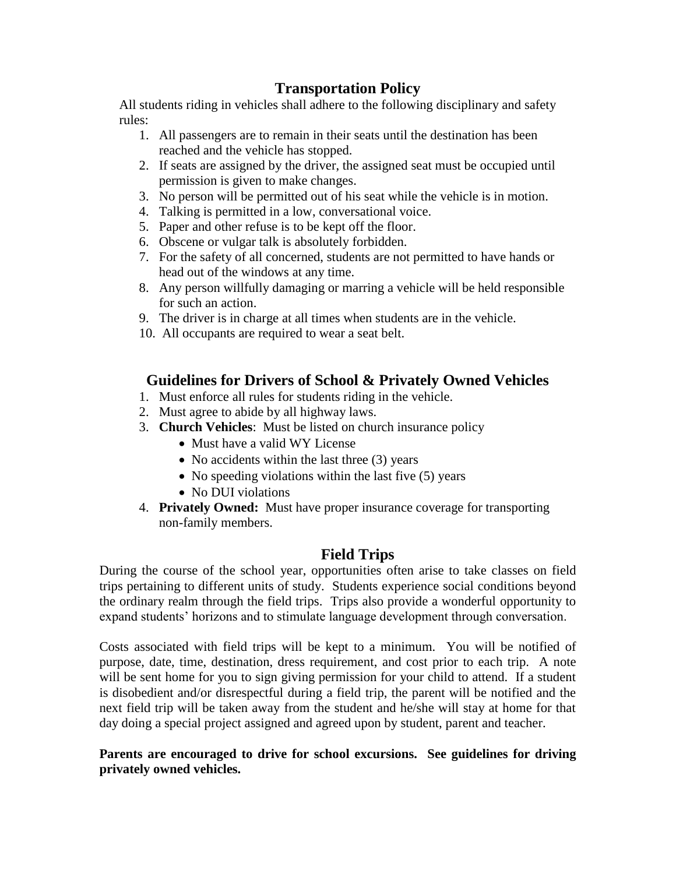## **Transportation Policy**

All students riding in vehicles shall adhere to the following disciplinary and safety rules:

- 1. All passengers are to remain in their seats until the destination has been reached and the vehicle has stopped.
- 2. If seats are assigned by the driver, the assigned seat must be occupied until permission is given to make changes.
- 3. No person will be permitted out of his seat while the vehicle is in motion.
- 4. Talking is permitted in a low, conversational voice.
- 5. Paper and other refuse is to be kept off the floor.
- 6. Obscene or vulgar talk is absolutely forbidden.
- 7. For the safety of all concerned, students are not permitted to have hands or head out of the windows at any time.
- 8. Any person willfully damaging or marring a vehicle will be held responsible for such an action.
- 9. The driver is in charge at all times when students are in the vehicle.
- 10. All occupants are required to wear a seat belt.

### **Guidelines for Drivers of School & Privately Owned Vehicles**

- 1. Must enforce all rules for students riding in the vehicle.
- 2. Must agree to abide by all highway laws.
- 3. **Church Vehicles**: Must be listed on church insurance policy
	- Must have a valid WY License
	- No accidents within the last three (3) years
	- $\bullet$  No speeding violations within the last five (5) years
	- No DUI violations
- 4. **Privately Owned:** Must have proper insurance coverage for transporting non-family members.

## **Field Trips**

During the course of the school year, opportunities often arise to take classes on field trips pertaining to different units of study. Students experience social conditions beyond the ordinary realm through the field trips. Trips also provide a wonderful opportunity to expand students' horizons and to stimulate language development through conversation.

Costs associated with field trips will be kept to a minimum. You will be notified of purpose, date, time, destination, dress requirement, and cost prior to each trip. A note will be sent home for you to sign giving permission for your child to attend. If a student is disobedient and/or disrespectful during a field trip, the parent will be notified and the next field trip will be taken away from the student and he/she will stay at home for that day doing a special project assigned and agreed upon by student, parent and teacher.

**Parents are encouraged to drive for school excursions. See guidelines for driving privately owned vehicles.**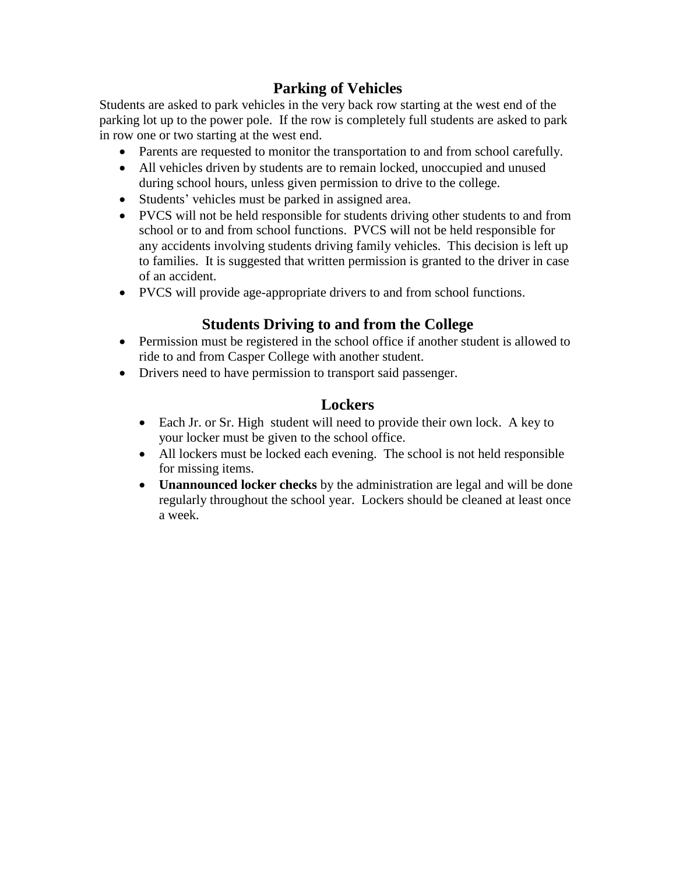## **Parking of Vehicles**

Students are asked to park vehicles in the very back row starting at the west end of the parking lot up to the power pole. If the row is completely full students are asked to park in row one or two starting at the west end.

- Parents are requested to monitor the transportation to and from school carefully.
- All vehicles driven by students are to remain locked, unoccupied and unused during school hours, unless given permission to drive to the college.
- Students' vehicles must be parked in assigned area.
- PVCS will not be held responsible for students driving other students to and from school or to and from school functions. PVCS will not be held responsible for any accidents involving students driving family vehicles. This decision is left up to families. It is suggested that written permission is granted to the driver in case of an accident.
- PVCS will provide age-appropriate drivers to and from school functions.

## **Students Driving to and from the College**

- Permission must be registered in the school office if another student is allowed to ride to and from Casper College with another student.
- Drivers need to have permission to transport said passenger.

### **Lockers**

- Each Jr. or Sr. High student will need to provide their own lock. A key to your locker must be given to the school office.
- All lockers must be locked each evening. The school is not held responsible for missing items.
- **Unannounced locker checks** by the administration are legal and will be done regularly throughout the school year. Lockers should be cleaned at least once a week.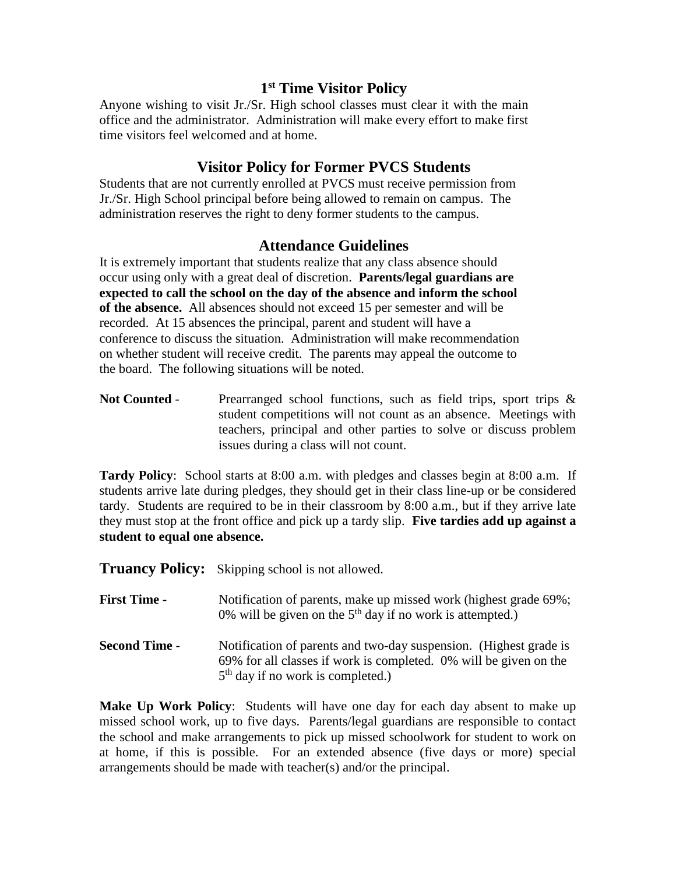### **1 st Time Visitor Policy**

Anyone wishing to visit Jr./Sr. High school classes must clear it with the main office and the administrator. Administration will make every effort to make first time visitors feel welcomed and at home.

#### **Visitor Policy for Former PVCS Students**

Students that are not currently enrolled at PVCS must receive permission from Jr./Sr. High School principal before being allowed to remain on campus. The administration reserves the right to deny former students to the campus.

#### **Attendance Guidelines**

It is extremely important that students realize that any class absence should occur using only with a great deal of discretion. **Parents/legal guardians are expected to call the school on the day of the absence and inform the school of the absence.** All absences should not exceed 15 per semester and will be recorded. At 15 absences the principal, parent and student will have a conference to discuss the situation. Administration will make recommendation on whether student will receive credit. The parents may appeal the outcome to the board. The following situations will be noted.

**Not Counted** - Prearranged school functions, such as field trips, sport trips & student competitions will not count as an absence. Meetings with teachers, principal and other parties to solve or discuss problem issues during a class will not count.

**Tardy Policy**: School starts at 8:00 a.m. with pledges and classes begin at 8:00 a.m. If students arrive late during pledges, they should get in their class line-up or be considered tardy. Students are required to be in their classroom by 8:00 a.m., but if they arrive late they must stop at the front office and pick up a tardy slip. **Five tardies add up against a student to equal one absence.**

**Truancy Policy:** Skipping school is not allowed.

| <b>First Time -</b>  | Notification of parents, make up missed work (highest grade 69%;<br>0% will be given on the $5th$ day if no work is attempted.)                                               |
|----------------------|-------------------------------------------------------------------------------------------------------------------------------------------------------------------------------|
| <b>Second Time -</b> | Notification of parents and two-day suspension. (Highest grade is<br>69% for all classes if work is completed. 0% will be given on the<br>$5th$ day if no work is completed.) |

**Make Up Work Policy**: Students will have one day for each day absent to make up missed school work, up to five days. Parents/legal guardians are responsible to contact the school and make arrangements to pick up missed schoolwork for student to work on at home, if this is possible. For an extended absence (five days or more) special arrangements should be made with teacher(s) and/or the principal.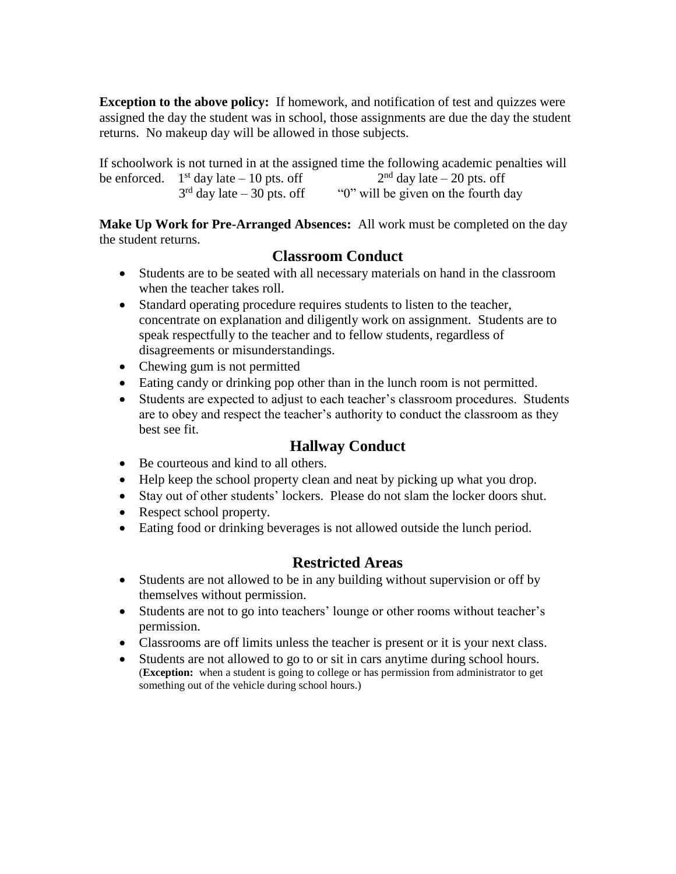**Exception to the above policy:** If homework, and notification of test and quizzes were assigned the day the student was in school, those assignments are due the day the student returns. No makeup day will be allowed in those subjects.

If schoolwork is not turned in at the assigned time the following academic penalties will be enforced.  $1<sup>st</sup>$  day late  $-10$  pts. off  $2<sup>nd</sup>$  day late – 20 pts. off  $3<sup>rd</sup>$  day late  $-30$  pts. off " $0$ " will be given on the fourth day

**Make Up Work for Pre-Arranged Absences:** All work must be completed on the day the student returns.

## **Classroom Conduct**

- Students are to be seated with all necessary materials on hand in the classroom when the teacher takes roll.
- Standard operating procedure requires students to listen to the teacher, concentrate on explanation and diligently work on assignment. Students are to speak respectfully to the teacher and to fellow students, regardless of disagreements or misunderstandings.
- Chewing gum is not permitted
- Eating candy or drinking pop other than in the lunch room is not permitted.
- Students are expected to adjust to each teacher's classroom procedures. Students are to obey and respect the teacher's authority to conduct the classroom as they best see fit.

## **Hallway Conduct**

- Be courteous and kind to all others.
- Help keep the school property clean and neat by picking up what you drop.
- Stay out of other students' lockers. Please do not slam the locker doors shut.
- Respect school property.
- Eating food or drinking beverages is not allowed outside the lunch period.

## **Restricted Areas**

- Students are not allowed to be in any building without supervision or off by themselves without permission.
- Students are not to go into teachers' lounge or other rooms without teacher's permission.
- Classrooms are off limits unless the teacher is present or it is your next class.
- Students are not allowed to go to or sit in cars anytime during school hours. (**Exception:** when a student is going to college or has permission from administrator to get something out of the vehicle during school hours.)